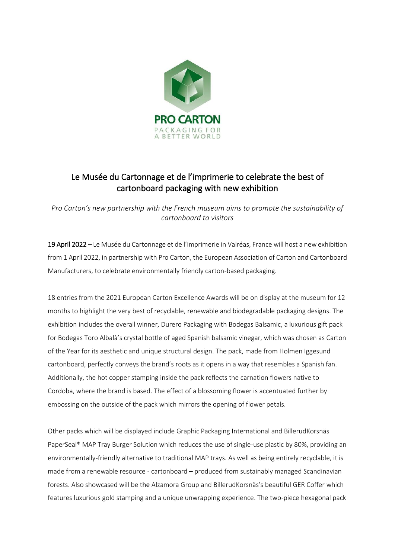

# Le Musée du Cartonnage et de l'imprimerie to celebrate the best of cartonboard packaging with new exhibition

*Pro Carton's new partnership with the French museum aims to promote the sustainability of cartonboard to visitors*

19 April 2022 – Le Musée du Cartonnage et de l'imprimerie in Valréas, France will host a new exhibition from 1 April 2022, in partnership with Pro Carton, the European Association of Carton and Cartonboard Manufacturers, to celebrate environmentally friendly carton-based packaging.

18 entries from the 2021 European Carton Excellence Awards will be on display at the museum for 12 months to highlight the very best of recyclable, renewable and biodegradable packaging designs. The exhibition includes the overall winner, Durero Packaging with Bodegas Balsamic, a luxurious gift pack for Bodegas Toro Albalà's crystal bottle of aged Spanish balsamic vinegar, which was chosen as Carton of the Year for its aesthetic and unique structural design. The pack, made from Holmen Iggesund cartonboard, perfectly conveys the brand's roots as it opens in a way that resembles a Spanish fan. Additionally, the hot copper stamping inside the pack reflects the carnation flowers native to Cordoba, where the brand is based. The effect of a blossoming flower is accentuated further by embossing on the outside of the pack which mirrors the opening of flower petals.

Other packs which will be displayed include Graphic Packaging International and BillerudKorsnäs PaperSeal® MAP Tray Burger Solution which reduces the use of single-use plastic by 80%, providing an environmentally-friendly alternative to traditional MAP trays. As well as being entirely recyclable, it is made from a renewable resource - cartonboard – produced from sustainably managed Scandinavian forests. Also showcased will be the Alzamora Group and BillerudKorsnäs's beautiful GER Coffer which features luxurious gold stamping and a unique unwrapping experience. The two-piece hexagonal pack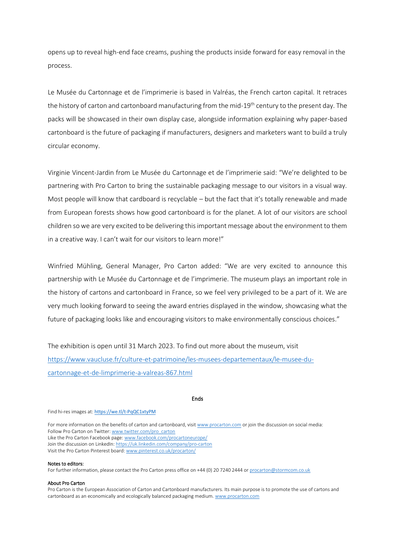opens up to reveal high-end face creams, pushing the products inside forward for easy removal in the process.

Le Musée du Cartonnage et de l'imprimerie is based in Valréas, the French carton capital. It retraces the history of carton and cartonboard manufacturing from the mid-19<sup>th</sup> century to the present day. The packs will be showcased in their own display case, alongside information explaining why paper-based cartonboard is the future of packaging if manufacturers, designers and marketers want to build a truly circular economy.

Virginie Vincent-Jardin from Le Musée du Cartonnage et de l'imprimerie said: "We're delighted to be partnering with Pro Carton to bring the sustainable packaging message to our visitors in a visual way. Most people will know that cardboard is recyclable – but the fact that it's totally renewable and made from European forests shows how good cartonboard is for the planet. A lot of our visitors are school children so we are very excited to be delivering this important message about the environment to them in a creative way. I can't wait for our visitors to learn more!"

Winfried Mühling, General Manager, Pro Carton added: "We are very excited to announce this partnership with Le Musée du Cartonnage et de l'imprimerie. The museum plays an important role in the history of cartons and cartonboard in France, so we feel very privileged to be a part of it. We are very much looking forward to seeing the award entries displayed in the window, showcasing what the future of packaging looks like and encouraging visitors to make environmentally conscious choices."

The exhibition is open until 31 March 2023. To find out more about the museum, visit [https://www.vaucluse.fr/culture-et-patrimoine/les-musees-departementaux/le-musee-du](https://www.vaucluse.fr/culture-et-patrimoine/les-musees-departementaux/le-musee-du-cartonnage-et-de-limprimerie-a-valreas-867.html)[cartonnage-et-de-limprimerie-a-valreas-867.html](https://www.vaucluse.fr/culture-et-patrimoine/les-musees-departementaux/le-musee-du-cartonnage-et-de-limprimerie-a-valreas-867.html)

## Ends

Find hi-res images at: <https://we.tl/t-PqQC1xtyPM>

For more information on the benefits of carton and cartonboard, visi[t www.procarton.com](http://www.procarton.com/) or join the discussion on social media: Follow Pro Carton on Twitter[: www.twitter.com/pro\\_carton](http://www.twitter.com/pro_carton) Like the Pro Carton Facebook page[: www.facebook.com/procartoneurope/](https://www.facebook.com/procartoneurope/) Join the discussion on LinkedIn[: https://uk.linkedin.com/company/pro-carton](https://uk.linkedin.com/company/pro-carton) Visit the Pro Carton Pinterest board[: www.pinterest.co.uk/procarton/](https://www.pinterest.co.uk/procarton/)

#### Notes to editors:

For further information, please contact the Pro Carton press office on +44 (0) 20 7240 2444 o[r procarton@stormcom.co.uk](mailto:procarton@stormcom.co.uk)

#### About Pro Carton

Pro Carton is the European Association of Carton and Cartonboard manufacturers. Its main purpose is to promote the use of cartons and cartonboard as an economically and ecologically balanced packaging medium[. www.procarton.com](http://www.procarton.com/)